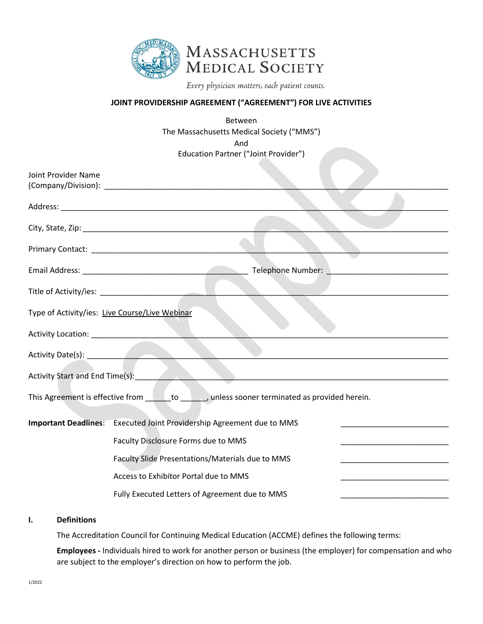

### **JOINT PROVIDERSHIP AGREEMENT ("AGREEMENT") FOR LIVE ACTIVITIES**

Between The Massachusetts Medical Society ("MMS") And Education Partner ("Joint Provider")

| Joint Provider Name                                                                               |                                                                                                                                                                                                                                |  |
|---------------------------------------------------------------------------------------------------|--------------------------------------------------------------------------------------------------------------------------------------------------------------------------------------------------------------------------------|--|
|                                                                                                   |                                                                                                                                                                                                                                |  |
|                                                                                                   |                                                                                                                                                                                                                                |  |
|                                                                                                   |                                                                                                                                                                                                                                |  |
|                                                                                                   | Telephone Number: National Property of the Contract of the Contract of the Contract of the Contract of the Contract of the Contract of the Contract of the Contract of the Contract of the Contract of the Contract of the Con |  |
|                                                                                                   |                                                                                                                                                                                                                                |  |
|                                                                                                   | Type of Activity/ies: Live Course/Live Webinar                                                                                                                                                                                 |  |
|                                                                                                   |                                                                                                                                                                                                                                |  |
|                                                                                                   |                                                                                                                                                                                                                                |  |
| Activity Start and End Time(s): And Activity Start and End Time(s):                               |                                                                                                                                                                                                                                |  |
| This Agreement is effective from ________to _______, unless sooner terminated as provided herein. |                                                                                                                                                                                                                                |  |
|                                                                                                   | Important Deadlines: Executed Joint Providership Agreement due to MMS                                                                                                                                                          |  |
|                                                                                                   | Faculty Disclosure Forms due to MMS                                                                                                                                                                                            |  |
|                                                                                                   | Faculty Slide Presentations/Materials due to MMS                                                                                                                                                                               |  |
|                                                                                                   | Access to Exhibitor Portal due to MMS                                                                                                                                                                                          |  |
|                                                                                                   | Fully Executed Letters of Agreement due to MMS                                                                                                                                                                                 |  |

#### **I. Definitions**

The Accreditation Council for Continuing Medical Education (ACCME) defines the following terms:

**Employees -** Individuals hired to work for another person or business (the employer) for compensation and who are subject to the employer's direction on how to perform the job.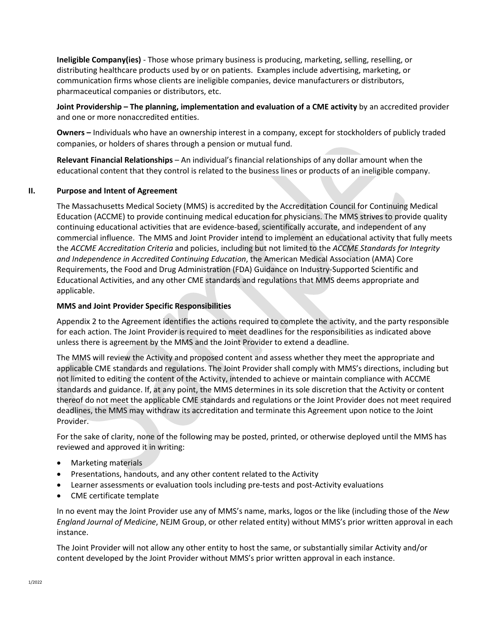**Ineligible Company(ies)** - Those whose primary business is producing, marketing, selling, reselling, or distributing healthcare products used by or on patients. Examples include advertising, marketing, or communication firms whose clients are ineligible companies, device manufacturers or distributors, pharmaceutical companies or distributors, etc.

**Joint Providership – The planning, implementation and evaluation of a CME activity** by an accredited provider and one or more nonaccredited entities.

**Owners –** Individuals who have an ownership interest in a company, except for stockholders of publicly traded companies, or holders of shares through a pension or mutual fund.

**Relevant Financial Relationships** – An individual's financial relationships of any dollar amount when the educational content that they control is related to the business lines or products of an ineligible company.

#### **II. Purpose and Intent of Agreement**

The Massachusetts Medical Society (MMS) is accredited by the Accreditation Council for Continuing Medical Education (ACCME) to provide continuing medical education for physicians. The MMS strives to provide quality continuing educational activities that are evidence-based, scientifically accurate, and independent of any commercial influence. The MMS and Joint Provider intend to implement an educational activity that fully meets the *ACCME Accreditation Criteria* and policies, including but not limited to the *ACCME Standards for Integrity and Independence in Accredited Continuing Education*, the American Medical Association (AMA) Core Requirements, the Food and Drug Administration (FDA) Guidance on Industry-Supported Scientific and Educational Activities, and any other CME standards and regulations that MMS deems appropriate and applicable.

#### **MMS and Joint Provider Specific Responsibilities**

Appendix 2 to the Agreement identifies the actions required to complete the activity, and the party responsible for each action. The Joint Provider is required to meet deadlines for the responsibilities as indicated above unless there is agreement by the MMS and the Joint Provider to extend a deadline.

The MMS will review the Activity and proposed content and assess whether they meet the appropriate and applicable CME standards and regulations. The Joint Provider shall comply with MMS's directions, including but not limited to editing the content of the Activity, intended to achieve or maintain compliance with ACCME standards and guidance. If, at any point, the MMS determines in its sole discretion that the Activity or content thereof do not meet the applicable CME standards and regulations or the Joint Provider does not meet required deadlines, the MMS may withdraw its accreditation and terminate this Agreement upon notice to the Joint Provider.

For the sake of clarity, none of the following may be posted, printed, or otherwise deployed until the MMS has reviewed and approved it in writing:

- Marketing materials
- Presentations, handouts, and any other content related to the Activity
- Learner assessments or evaluation tools including pre-tests and post-Activity evaluations
- CME certificate template

In no event may the Joint Provider use any of MMS's name, marks, logos or the like (including those of the *New England Journal of Medicine*, NEJM Group, or other related entity) without MMS's prior written approval in each instance.

The Joint Provider will not allow any other entity to host the same, or substantially similar Activity and/or content developed by the Joint Provider without MMS's prior written approval in each instance.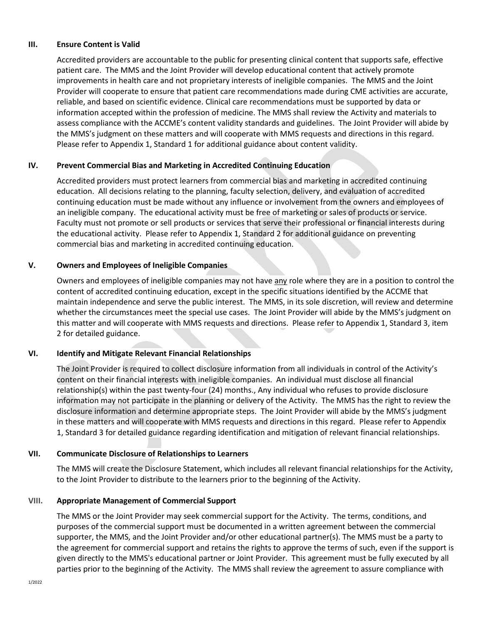#### **III. Ensure Content is Valid**

Accredited providers are accountable to the public for presenting clinical content that supports safe, effective patient care. The MMS and the Joint Provider will develop educational content that actively promote improvements in health care and not proprietary interests of ineligible companies. The MMS and the Joint Provider will cooperate to ensure that patient care recommendations made during CME activities are accurate, reliable, and based on scientific evidence. Clinical care recommendations must be supported by data or information accepted within the profession of medicine. The MMS shall review the Activity and materials to assess compliance with the ACCME's content validity standards and guidelines. The Joint Provider will abide by the MMS's judgment on these matters and will cooperate with MMS requests and directions in this regard. Please refer to Appendix 1, Standard 1 for additional guidance about content validity.

### **IV. Prevent Commercial Bias and Marketing in Accredited Continuing Education**

Accredited providers must protect learners from commercial bias and marketing in accredited continuing education. All decisions relating to the planning, faculty selection, delivery, and evaluation of accredited continuing education must be made without any influence or involvement from the owners and employees of an ineligible company. The educational activity must be free of marketing or sales of products or service. Faculty must not promote or sell products or services that serve their professional or financial interests during the educational activity. Please refer to Appendix 1, Standard 2 for additional guidance on preventing commercial bias and marketing in accredited continuing education.

#### **V. Owners and Employees of Ineligible Companies**

Owners and employees of ineligible companies may not have any role where they are in a position to control the content of accredited continuing education, except in the specific situations identified by the ACCME that maintain independence and serve the public interest. The MMS, in its sole discretion, will review and determine whether the circumstances meet the special use cases. The Joint Provider will abide by the MMS's judgment on this matter and will cooperate with MMS requests and directions. Please refer to Appendix 1, Standard 3, item 2 for detailed guidance.

#### **VI. Identify and Mitigate Relevant Financial Relationships**

The Joint Provider is required to collect disclosure information from all individuals in control of the Activity's content on their financial interests with ineligible companies. An individual must disclose all financial relationship(s) within the past twenty-four (24) months., Any individual who refuses to provide disclosure information may not participate in the planning or delivery of the Activity. The MMS has the right to review the disclosure information and determine appropriate steps. The Joint Provider will abide by the MMS's judgment in these matters and will cooperate with MMS requests and directions in this regard. Please refer to Appendix 1, Standard 3 for detailed guidance regarding identification and mitigation of relevant financial relationships.

#### **VII. Communicate Disclosure of Relationships to Learners**

The MMS will create the Disclosure Statement, which includes all relevant financial relationships for the Activity, to the Joint Provider to distribute to the learners prior to the beginning of the Activity.

#### **VIII. Appropriate Management of Commercial Support**

The MMS or the Joint Provider may seek commercial support for the Activity. The terms, conditions, and purposes of the commercial support must be documented in a written agreement between the commercial supporter, the MMS, and the Joint Provider and/or other educational partner(s). The MMS must be a party to the agreement for commercial support and retains the rights to approve the terms of such, even if the support is given directly to the MMS's educational partner or Joint Provider. This agreement must be fully executed by all parties prior to the beginning of the Activity. The MMS shall review the agreement to assure compliance with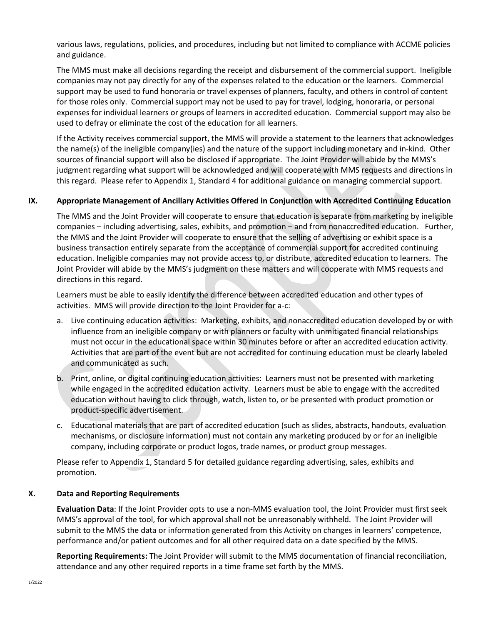various laws, regulations, policies, and procedures, including but not limited to compliance with ACCME policies and guidance.

The MMS must make all decisions regarding the receipt and disbursement of the commercial support. Ineligible companies may not pay directly for any of the expenses related to the education or the learners. Commercial support may be used to fund honoraria or travel expenses of planners, faculty, and others in control of content for those roles only. Commercial support may not be used to pay for travel, lodging, honoraria, or personal expenses for individual learners or groups of learners in accredited education. Commercial support may also be used to defray or eliminate the cost of the education for all learners.

If the Activity receives commercial support, the MMS will provide a statement to the learners that acknowledges the name(s) of the ineligible company(ies) and the nature of the support including monetary and in-kind. Other sources of financial support will also be disclosed if appropriate. The Joint Provider will abide by the MMS's judgment regarding what support will be acknowledged and will cooperate with MMS requests and directions in this regard. Please refer to Appendix 1, Standard 4 for additional guidance on managing commercial support.

### **IX. Appropriate Management of Ancillary Activities Offered in Conjunction with Accredited Continuing Education**

The MMS and the Joint Provider will cooperate to ensure that education is separate from marketing by ineligible companies – including advertising, sales, exhibits, and promotion – and from nonaccredited education. Further, the MMS and the Joint Provider will cooperate to ensure that the selling of advertising or exhibit space is a business transaction entirely separate from the acceptance of commercial support for accredited continuing education. Ineligible companies may not provide access to, or distribute, accredited education to learners. The Joint Provider will abide by the MMS's judgment on these matters and will cooperate with MMS requests and directions in this regard.

Learners must be able to easily identify the difference between accredited education and other types of activities. MMS will provide direction to the Joint Provider for a-c:

- a. Live continuing education activities: Marketing, exhibits, and nonaccredited education developed by or with influence from an ineligible company or with planners or faculty with unmitigated financial relationships must not occur in the educational space within 30 minutes before or after an accredited education activity. Activities that are part of the event but are not accredited for continuing education must be clearly labeled and communicated as such.
- b. Print, online, or digital continuing education activities: Learners must not be presented with marketing while engaged in the accredited education activity. Learners must be able to engage with the accredited education without having to click through, watch, listen to, or be presented with product promotion or product-specific advertisement.
- c. Educational materials that are part of accredited education (such as slides, abstracts, handouts, evaluation mechanisms, or disclosure information) must not contain any marketing produced by or for an ineligible company, including corporate or product logos, trade names, or product group messages.

Please refer to Appendix 1, Standard 5 for detailed guidance regarding advertising, sales, exhibits and promotion.

#### **X. Data and Reporting Requirements**

**Evaluation Data**: If the Joint Provider opts to use a non-MMS evaluation tool, the Joint Provider must first seek MMS's approval of the tool, for which approval shall not be unreasonably withheld. The Joint Provider will submit to the MMS the data or information generated from this Activity on changes in learners' competence, performance and/or patient outcomes and for all other required data on a date specified by the MMS.

**Reporting Requirements:** The Joint Provider will submit to the MMS documentation of financial reconciliation, attendance and any other required reports in a time frame set forth by the MMS.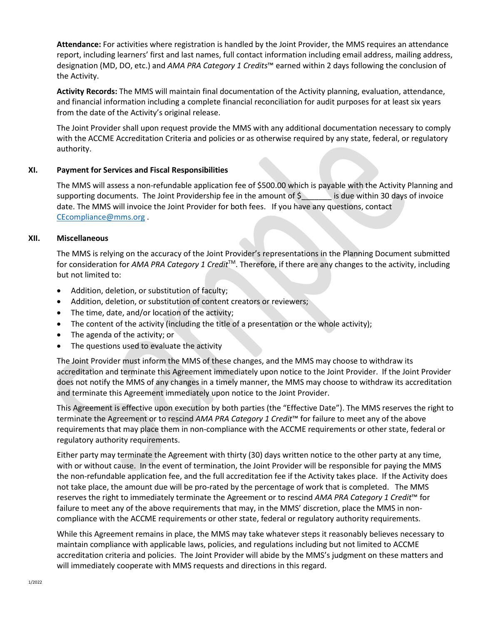**Attendance:** For activities where registration is handled by the Joint Provider, the MMS requires an attendance report, including learners' first and last names, full contact information including email address, mailing address, designation (MD, DO, etc.) and *AMA PRA Category 1 Credits*™ earned within 2 days following the conclusion of the Activity.

**Activity Records:** The MMS will maintain final documentation of the Activity planning, evaluation, attendance, and financial information including a complete financial reconciliation for audit purposes for at least six years from the date of the Activity's original release.

The Joint Provider shall upon request provide the MMS with any additional documentation necessary to comply with the ACCME Accreditation Criteria and policies or as otherwise required by any state, federal, or regulatory authority.

#### **XI. Payment for Services and Fiscal Responsibilities**

The MMS will assess a non-refundable application fee of \$500.00 which is payable with the Activity Planning and supporting documents. The Joint Providership fee in the amount of  $\zeta$  is due within 30 days of invoice date. The MMS will invoice the Joint Provider for both fees. If you have any questions, contact [CEcompliance@mms.org](mailto:CEcompliance@mms.org) .

### **XII. Miscellaneous**

The MMS is relying on the accuracy of the Joint Provider's representations in the Planning Document submitted for consideration for *AMA PRA Category 1 Credit*TM. Therefore, if there are any changes to the activity, including but not limited to:

- Addition, deletion, or substitution of faculty;
- Addition, deletion, or substitution of content creators or reviewers;
- The time, date, and/or location of the activity;
- The content of the activity (including the title of a presentation or the whole activity);
- The agenda of the activity; or
- The questions used to evaluate the activity

The Joint Provider must inform the MMS of these changes, and the MMS may choose to withdraw its accreditation and terminate this Agreement immediately upon notice to the Joint Provider. If the Joint Provider does not notify the MMS of any changes in a timely manner, the MMS may choose to withdraw its accreditation and terminate this Agreement immediately upon notice to the Joint Provider.

This Agreement is effective upon execution by both parties (the "Effective Date"). The MMS reserves the right to terminate the Agreement or to rescind *AMA PRA Category 1 Credit*™ for failure to meet any of the above requirements that may place them in non-compliance with the ACCME requirements or other state, federal or regulatory authority requirements.

Either party may terminate the Agreement with thirty (30) days written notice to the other party at any time, with or without cause. In the event of termination, the Joint Provider will be responsible for paying the MMS the non-refundable application fee, and the full accreditation fee if the Activity takes place. If the Activity does not take place, the amount due will be pro-rated by the percentage of work that is completed. The MMS reserves the right to immediately terminate the Agreement or to rescind *AMA PRA Category 1 Credit*™ for failure to meet any of the above requirements that may, in the MMS' discretion, place the MMS in noncompliance with the ACCME requirements or other state, federal or regulatory authority requirements.

While this Agreement remains in place, the MMS may take whatever steps it reasonably believes necessary to maintain compliance with applicable laws, policies, and regulations including but not limited to ACCME accreditation criteria and policies. The Joint Provider will abide by the MMS's judgment on these matters and will immediately cooperate with MMS requests and directions in this regard.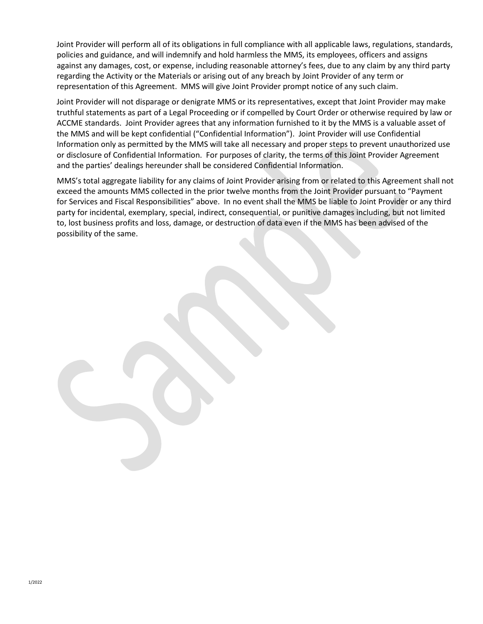Joint Provider will perform all of its obligations in full compliance with all applicable laws, regulations, standards, policies and guidance, and will indemnify and hold harmless the MMS, its employees, officers and assigns against any damages, cost, or expense, including reasonable attorney's fees, due to any claim by any third party regarding the Activity or the Materials or arising out of any breach by Joint Provider of any term or representation of this Agreement. MMS will give Joint Provider prompt notice of any such claim.

Joint Provider will not disparage or denigrate MMS or its representatives, except that Joint Provider may make truthful statements as part of a Legal Proceeding or if compelled by Court Order or otherwise required by law or ACCME standards. Joint Provider agrees that any information furnished to it by the MMS is a valuable asset of the MMS and will be kept confidential ("Confidential Information"). Joint Provider will use Confidential Information only as permitted by the MMS will take all necessary and proper steps to prevent unauthorized use or disclosure of Confidential Information. For purposes of clarity, the terms of this Joint Provider Agreement and the parties' dealings hereunder shall be considered Confidential Information.

MMS's total aggregate liability for any claims of Joint Provider arising from or related to this Agreement shall not exceed the amounts MMS collected in the prior twelve months from the Joint Provider pursuant to "Payment for Services and Fiscal Responsibilities" above. In no event shall the MMS be liable to Joint Provider or any third party for incidental, exemplary, special, indirect, consequential, or punitive damages including, but not limited to, lost business profits and loss, damage, or destruction of data even if the MMS has been advised of the possibility of the same.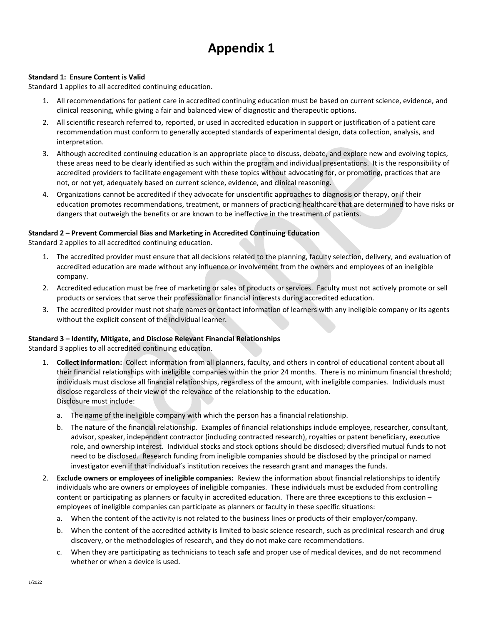## **Appendix 1**

#### **Standard 1: Ensure Content is Valid**

Standard 1 applies to all accredited continuing education.

- 1. All recommendations for patient care in accredited continuing education must be based on current science, evidence, and clinical reasoning, while giving a fair and balanced view of diagnostic and therapeutic options.
- 2. All scientific research referred to, reported, or used in accredited education in support or justification of a patient care recommendation must conform to generally accepted standards of experimental design, data collection, analysis, and interpretation.
- 3. Although accredited continuing education is an appropriate place to discuss, debate, and explore new and evolving topics, these areas need to be clearly identified as such within the program and individual presentations. It is the responsibility of accredited providers to facilitate engagement with these topics without advocating for, or promoting, practices that are not, or not yet, adequately based on current science, evidence, and clinical reasoning.
- 4. Organizations cannot be accredited if they advocate for unscientific approaches to diagnosis or therapy, or if their education promotes recommendations, treatment, or manners of practicing healthcare that are determined to have risks or dangers that outweigh the benefits or are known to be ineffective in the treatment of patients.

#### **Standard 2 – Prevent Commercial Bias and Marketing in Accredited Continuing Education**

Standard 2 applies to all accredited continuing education.

- 1. The accredited provider must ensure that all decisions related to the planning, faculty selection, delivery, and evaluation of accredited education are made without any influence or involvement from the owners and employees of an ineligible company.
- 2. Accredited education must be free of marketing or sales of products or services. Faculty must not actively promote or sell products or services that serve their professional or financial interests during accredited education.
- 3. The accredited provider must not share names or contact information of learners with any ineligible company or its agents without the explicit consent of the individual learner.

#### **Standard 3 – Identify, Mitigate, and Disclose Relevant Financial Relationships**

Standard 3 applies to all accredited continuing education.

- 1. **Collect information:** Collect information from all planners, faculty, and others in control of educational content about all their financial relationships with ineligible companies within the prior 24 months. There is no minimum financial threshold; individuals must disclose all financial relationships, regardless of the amount, with ineligible companies. Individuals must disclose regardless of their view of the relevance of the relationship to the education. Disclosure must include:
	- a. The name of the ineligible company with which the person has a financial relationship.
	- b. The nature of the financial relationship. Examples of financial relationships include employee, researcher, consultant, advisor, speaker, independent contractor (including contracted research), royalties or patent beneficiary, executive role, and ownership interest. Individual stocks and stock options should be disclosed; diversified mutual funds to not need to be disclosed. Research funding from ineligible companies should be disclosed by the principal or named investigator even if that individual's institution receives the research grant and manages the funds.
- 2. **Exclude owners or employees of ineligible companies:** Review the information about financial relationships to identify individuals who are owners or employees of ineligible companies. These individuals must be excluded from controlling content or participating as planners or faculty in accredited education. There are three exceptions to this exclusion – employees of ineligible companies can participate as planners or faculty in these specific situations:
	- a. When the content of the activity is not related to the business lines or products of their employer/company.
	- b. When the content of the accredited activity is limited to basic science research, such as preclinical research and drug discovery, or the methodologies of research, and they do not make care recommendations.
	- c. When they are participating as technicians to teach safe and proper use of medical devices, and do not recommend whether or when a device is used.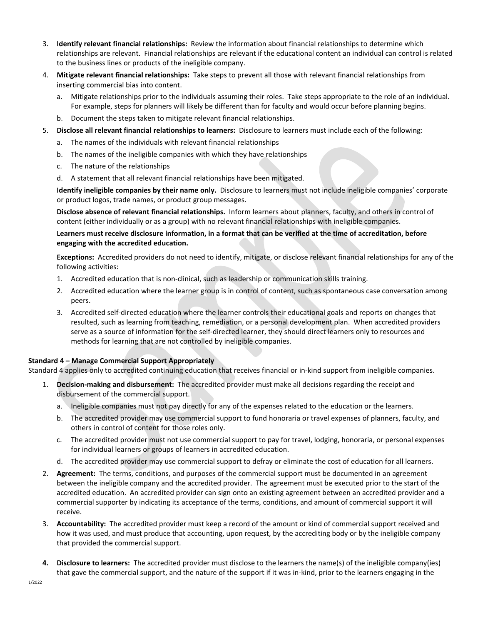- 3. **Identify relevant financial relationships:** Review the information about financial relationships to determine which relationships are relevant. Financial relationships are relevant if the educational content an individual can control is related to the business lines or products of the ineligible company.
- 4. **Mitigate relevant financial relationships:** Take steps to prevent all those with relevant financial relationships from inserting commercial bias into content.
	- a. Mitigate relationships prior to the individuals assuming their roles. Take steps appropriate to the role of an individual. For example, steps for planners will likely be different than for faculty and would occur before planning begins.
	- b. Document the steps taken to mitigate relevant financial relationships.
- 5. **Disclose all relevant financial relationships to learners:** Disclosure to learners must include each of the following:
	- a. The names of the individuals with relevant financial relationships
	- b. The names of the ineligible companies with which they have relationships
	- c. The nature of the relationships
	- d. A statement that all relevant financial relationships have been mitigated.

**Identify ineligible companies by their name only.** Disclosure to learners must not include ineligible companies' corporate or product logos, trade names, or product group messages.

**Disclose absence of relevant financial relationships.** Inform learners about planners, faculty, and others in control of content (either individually or as a group) with no relevant financial relationships with ineligible companies.

#### **Learners must receive disclosure information, in a format that can be verified at the time of accreditation, before engaging with the accredited education.**

**Exceptions:** Accredited providers do not need to identify, mitigate, or disclose relevant financial relationships for any of the following activities:

- 1. Accredited education that is non-clinical, such as leadership or communication skills training.
- 2. Accredited education where the learner group is in control of content, such as spontaneous case conversation among peers.
- 3. Accredited self-directed education where the learner controls their educational goals and reports on changes that resulted, such as learning from teaching, remediation, or a personal development plan. When accredited providers serve as a source of information for the self-directed learner, they should direct learners only to resources and methods for learning that are not controlled by ineligible companies.

#### **Standard 4 – Manage Commercial Support Appropriately**

Standard 4 applies only to accredited continuing education that receives financial or in-kind support from ineligible companies.

- 1. **Decision-making and disbursement:** The accredited provider must make all decisions regarding the receipt and disbursement of the commercial support.
	- a. Ineligible companies must not pay directly for any of the expenses related to the education or the learners.
	- b. The accredited provider may use commercial support to fund honoraria or travel expenses of planners, faculty, and others in control of content for those roles only.
	- c. The accredited provider must not use commercial support to pay for travel, lodging, honoraria, or personal expenses for individual learners or groups of learners in accredited education.
	- d. The accredited provider may use commercial support to defray or eliminate the cost of education for all learners.
- 2. **Agreement:** The terms, conditions, and purposes of the commercial support must be documented in an agreement between the ineligible company and the accredited provider. The agreement must be executed prior to the start of the accredited education. An accredited provider can sign onto an existing agreement between an accredited provider and a commercial supporter by indicating its acceptance of the terms, conditions, and amount of commercial support it will receive.
- 3. **Accountability:** The accredited provider must keep a record of the amount or kind of commercial support received and how it was used, and must produce that accounting, upon request, by the accrediting body or by the ineligible company that provided the commercial support.
- **4. Disclosure to learners:** The accredited provider must disclose to the learners the name(s) of the ineligible company(ies) that gave the commercial support, and the nature of the support if it was in-kind, prior to the learners engaging in the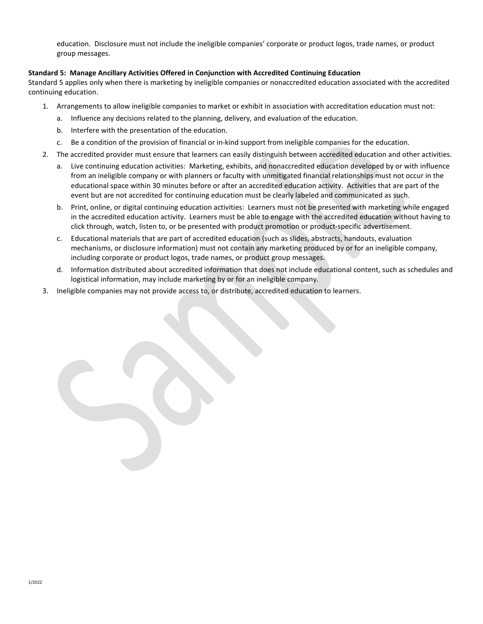education. Disclosure must not include the ineligible companies' corporate or product logos, trade names, or product group messages.

#### **Standard 5: Manage Ancillary Activities Offered in Conjunction with Accredited Continuing Education**

Standard 5 applies only when there is marketing by ineligible companies or nonaccredited education associated with the accredited continuing education.

- 1. Arrangements to allow ineligible companies to market or exhibit in association with accreditation education must not:
	- a. Influence any decisions related to the planning, delivery, and evaluation of the education.
	- b. Interfere with the presentation of the education.
	- c. Be a condition of the provision of financial or in-kind support from ineligible companies for the education.
- 2. The accredited provider must ensure that learners can easily distinguish between accredited education and other activities.
	- a. Live continuing education activities: Marketing, exhibits, and nonaccredited education developed by or with influence from an ineligible company or with planners or faculty with unmitigated financial relationships must not occur in the educational space within 30 minutes before or after an accredited education activity. Activities that are part of the event but are not accredited for continuing education must be clearly labeled and communicated as such.
	- b. Print, online, or digital continuing education activities: Learners must not be presented with marketing while engaged in the accredited education activity. Learners must be able to engage with the accredited education without having to click through, watch, listen to, or be presented with product promotion or product-specific advertisement.
	- c. Educational materials that are part of accredited education (such as slides, abstracts, handouts, evaluation mechanisms, or disclosure information) must not contain any marketing produced by or for an ineligible company, including corporate or product logos, trade names, or product group messages.
	- d. Information distributed about accredited information that does not include educational content, such as schedules and logistical information, may include marketing by or for an ineligible company.
- 3. Ineligible companies may not provide access to, or distribute, accredited education to learners.